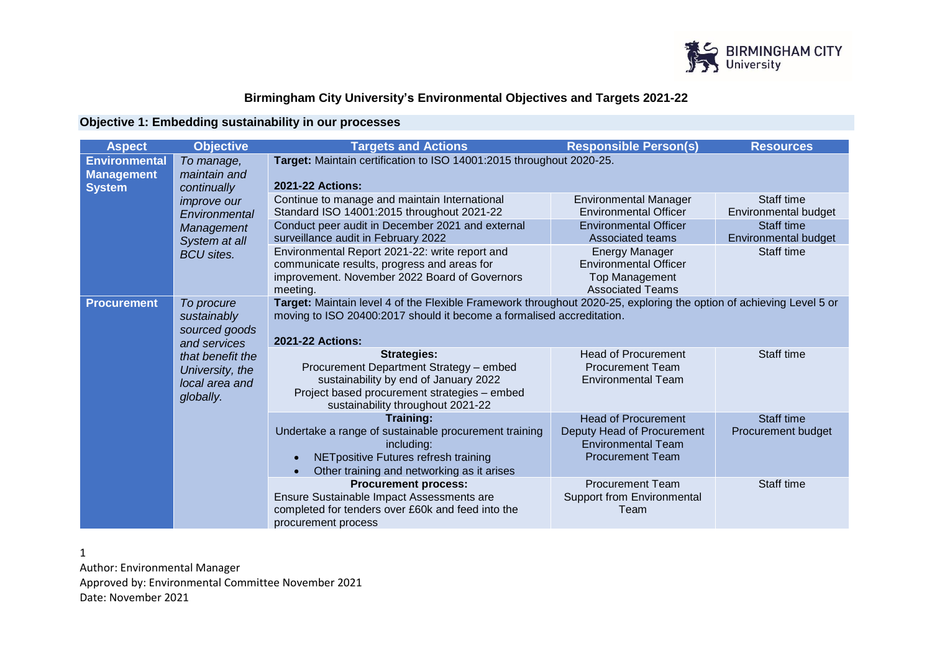

## **Birmingham City University's Environmental Objectives and Targets 2021-22**

## **Objective 1: Embedding sustainability in our processes**

| <b>Aspect</b>                                              | <b>Objective</b>                                                                                                                 | <b>Targets and Actions</b>                                                                                                                                                                                              | <b>Responsible Person(s)</b>                                                                                     | <b>Resources</b>                   |
|------------------------------------------------------------|----------------------------------------------------------------------------------------------------------------------------------|-------------------------------------------------------------------------------------------------------------------------------------------------------------------------------------------------------------------------|------------------------------------------------------------------------------------------------------------------|------------------------------------|
| <b>Environmental</b><br><b>Management</b><br><b>System</b> | To manage,<br>maintain and<br>continually                                                                                        | Target: Maintain certification to ISO 14001:2015 throughout 2020-25.<br><b>2021-22 Actions:</b>                                                                                                                         |                                                                                                                  |                                    |
|                                                            | <i>improve our</i><br>Environmental                                                                                              | Continue to manage and maintain International<br>Standard ISO 14001:2015 throughout 2021-22                                                                                                                             | <b>Environmental Manager</b><br><b>Environmental Officer</b>                                                     | Staff time<br>Environmental budget |
|                                                            | Management<br>System at all                                                                                                      | Conduct peer audit in December 2021 and external<br>surveillance audit in February 2022                                                                                                                                 | <b>Environmental Officer</b><br>Associated teams                                                                 | Staff time<br>Environmental budget |
|                                                            | <b>BCU</b> sites.                                                                                                                | Environmental Report 2021-22: write report and<br>communicate results, progress and areas for<br>improvement. November 2022 Board of Governors<br>meeting.                                                              | <b>Energy Manager</b><br><b>Environmental Officer</b><br><b>Top Management</b><br><b>Associated Teams</b>        | Staff time                         |
| <b>Procurement</b>                                         | To procure<br>sustainably<br>sourced goods<br>and services<br>that benefit the<br>University, the<br>local area and<br>globally. | Target: Maintain level 4 of the Flexible Framework throughout 2020-25, exploring the option of achieving Level 5 or<br>moving to ISO 20400:2017 should it become a formalised accreditation.<br><b>2021-22 Actions:</b> |                                                                                                                  |                                    |
|                                                            |                                                                                                                                  | <b>Strategies:</b><br>Procurement Department Strategy - embed<br>sustainability by end of January 2022<br>Project based procurement strategies - embed<br>sustainability throughout 2021-22                             | <b>Head of Procurement</b><br><b>Procurement Team</b><br><b>Environmental Team</b>                               | Staff time                         |
|                                                            |                                                                                                                                  | Training:<br>Undertake a range of sustainable procurement training<br>including:<br>NETpositive Futures refresh training<br>Other training and networking as it arises                                                  | <b>Head of Procurement</b><br>Deputy Head of Procurement<br><b>Environmental Team</b><br><b>Procurement Team</b> | Staff time<br>Procurement budget   |
|                                                            |                                                                                                                                  | <b>Procurement process:</b><br>Ensure Sustainable Impact Assessments are<br>completed for tenders over £60k and feed into the<br>procurement process                                                                    | <b>Procurement Team</b><br><b>Support from Environmental</b><br>Team                                             | Staff time                         |

1

Author: Environmental Manager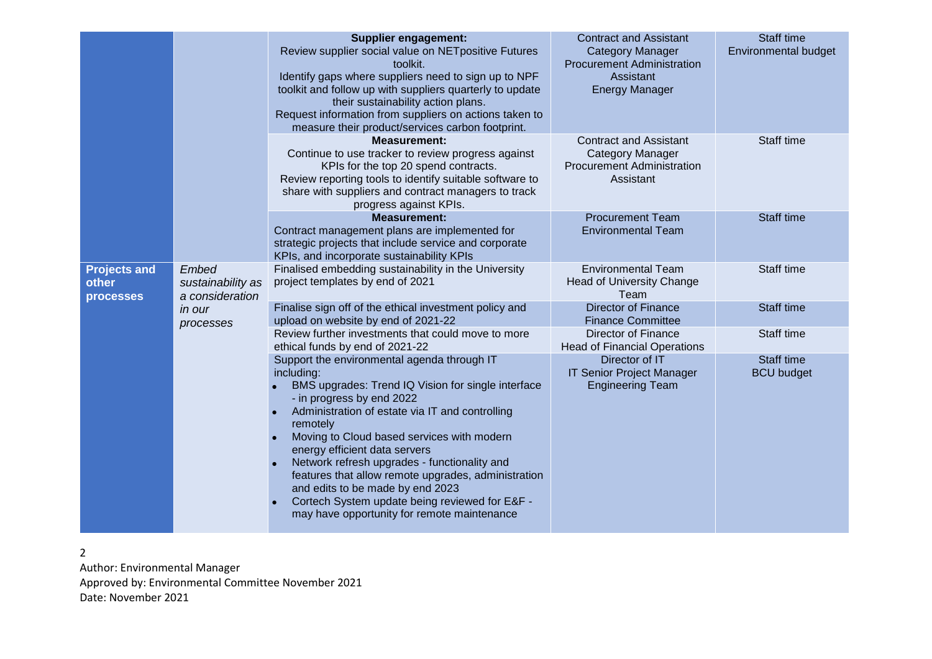|                                           |                                                                      | <b>Supplier engagement:</b><br>Review supplier social value on NETpositive Futures<br>toolkit.<br>Identify gaps where suppliers need to sign up to NPF<br>toolkit and follow up with suppliers quarterly to update<br>their sustainability action plans.<br>Request information from suppliers on actions taken to<br>measure their product/services carbon footprint.                                                                                                                                                                 | <b>Contract and Assistant</b><br><b>Category Manager</b><br><b>Procurement Administration</b><br>Assistant<br><b>Energy Manager</b> | Staff time<br>Environmental budget |
|-------------------------------------------|----------------------------------------------------------------------|----------------------------------------------------------------------------------------------------------------------------------------------------------------------------------------------------------------------------------------------------------------------------------------------------------------------------------------------------------------------------------------------------------------------------------------------------------------------------------------------------------------------------------------|-------------------------------------------------------------------------------------------------------------------------------------|------------------------------------|
|                                           |                                                                      | <b>Measurement:</b><br>Continue to use tracker to review progress against<br>KPIs for the top 20 spend contracts.<br>Review reporting tools to identify suitable software to<br>share with suppliers and contract managers to track<br>progress against KPIs.                                                                                                                                                                                                                                                                          | <b>Contract and Assistant</b><br><b>Category Manager</b><br><b>Procurement Administration</b><br>Assistant                          | Staff time                         |
|                                           |                                                                      | <b>Measurement:</b><br>Contract management plans are implemented for<br>strategic projects that include service and corporate<br>KPIs, and incorporate sustainability KPIs                                                                                                                                                                                                                                                                                                                                                             | <b>Procurement Team</b><br><b>Environmental Team</b>                                                                                | Staff time                         |
| <b>Projects and</b><br>other<br>processes | Embed<br>sustainability as<br>a consideration<br>in our<br>processes | Finalised embedding sustainability in the University<br>project templates by end of 2021                                                                                                                                                                                                                                                                                                                                                                                                                                               | <b>Environmental Team</b><br><b>Head of University Change</b><br>Team                                                               | Staff time                         |
|                                           |                                                                      | Finalise sign off of the ethical investment policy and<br>upload on website by end of 2021-22                                                                                                                                                                                                                                                                                                                                                                                                                                          | <b>Director of Finance</b><br><b>Finance Committee</b>                                                                              | Staff time                         |
|                                           |                                                                      | Review further investments that could move to more<br>ethical funds by end of 2021-22                                                                                                                                                                                                                                                                                                                                                                                                                                                  | <b>Director of Finance</b><br><b>Head of Financial Operations</b>                                                                   | Staff time                         |
|                                           |                                                                      | Support the environmental agenda through IT<br>including:<br>BMS upgrades: Trend IQ Vision for single interface<br>- in progress by end 2022<br>Administration of estate via IT and controlling<br>remotely<br>Moving to Cloud based services with modern<br>energy efficient data servers<br>Network refresh upgrades - functionality and<br>features that allow remote upgrades, administration<br>and edits to be made by end 2023<br>Cortech System update being reviewed for E&F -<br>may have opportunity for remote maintenance | Director of IT<br><b>IT Senior Project Manager</b><br><b>Engineering Team</b>                                                       | Staff time<br><b>BCU</b> budget    |

Author: Environmental Manager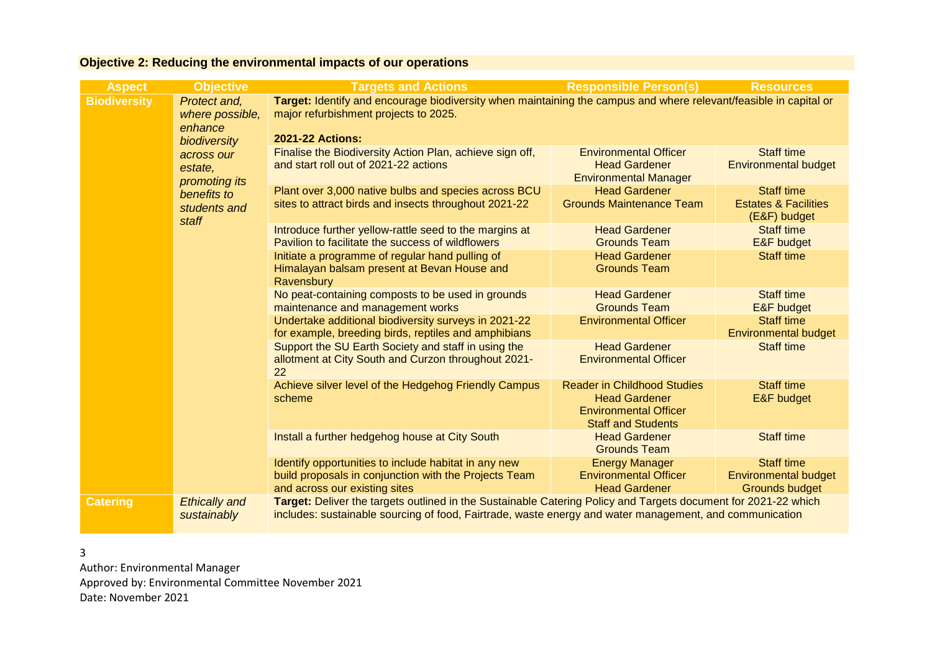## **Objective 2: Reducing the environmental impacts of our operations**

| <b>Aspect</b>       | <b>Objective</b>                                           | <b>Targets and Actions</b>                                                                                                                                                                                                | <b>Responsible Person(s)</b>                                                                                            | <b>Resources</b>                                                          |
|---------------------|------------------------------------------------------------|---------------------------------------------------------------------------------------------------------------------------------------------------------------------------------------------------------------------------|-------------------------------------------------------------------------------------------------------------------------|---------------------------------------------------------------------------|
| <b>Biodiversity</b> | Protect and,<br>where possible,<br>enhance<br>biodiversity | Target: Identify and encourage biodiversity when maintaining the campus and where relevant/feasible in capital or<br>major refurbishment projects to 2025.<br><b>2021-22 Actions:</b>                                     |                                                                                                                         |                                                                           |
|                     | across our<br>estate,<br>promoting its                     | Finalise the Biodiversity Action Plan, achieve sign off,<br>and start roll out of 2021-22 actions                                                                                                                         | <b>Environmental Officer</b><br><b>Head Gardener</b><br><b>Environmental Manager</b>                                    | <b>Staff time</b><br><b>Environmental budget</b>                          |
|                     | benefits to<br>students and<br>staff                       | Plant over 3,000 native bulbs and species across BCU<br>sites to attract birds and insects throughout 2021-22                                                                                                             | <b>Head Gardener</b><br><b>Grounds Maintenance Team</b>                                                                 | <b>Staff time</b><br><b>Estates &amp; Facilities</b><br>(E&F) budget      |
|                     |                                                            | Introduce further yellow-rattle seed to the margins at<br>Pavilion to facilitate the success of wildflowers                                                                                                               | <b>Head Gardener</b><br><b>Grounds Team</b>                                                                             | <b>Staff time</b><br><b>E&amp;F</b> budget                                |
|                     |                                                            | Initiate a programme of regular hand pulling of<br>Himalayan balsam present at Bevan House and<br>Ravensbury                                                                                                              | <b>Head Gardener</b><br><b>Grounds Team</b>                                                                             | <b>Staff time</b>                                                         |
|                     |                                                            | No peat-containing composts to be used in grounds<br>maintenance and management works                                                                                                                                     | <b>Head Gardener</b><br><b>Grounds Team</b>                                                                             | <b>Staff time</b><br>E&F budget                                           |
|                     |                                                            | Undertake additional biodiversity surveys in 2021-22<br>for example, breeding birds, reptiles and amphibians                                                                                                              | <b>Environmental Officer</b>                                                                                            | <b>Staff time</b><br><b>Environmental budget</b>                          |
|                     |                                                            | Support the SU Earth Society and staff in using the<br>allotment at City South and Curzon throughout 2021-<br>22                                                                                                          | <b>Head Gardener</b><br><b>Environmental Officer</b>                                                                    | <b>Staff time</b>                                                         |
|                     |                                                            | Achieve silver level of the Hedgehog Friendly Campus<br>scheme                                                                                                                                                            | <b>Reader in Childhood Studies</b><br><b>Head Gardener</b><br><b>Environmental Officer</b><br><b>Staff and Students</b> | Staff time<br><b>E&amp;F</b> budget                                       |
|                     |                                                            | Install a further hedgehog house at City South                                                                                                                                                                            | <b>Head Gardener</b><br><b>Grounds Team</b>                                                                             | <b>Staff time</b>                                                         |
|                     |                                                            | Identify opportunities to include habitat in any new<br>build proposals in conjunction with the Projects Team<br>and across our existing sites                                                                            | <b>Energy Manager</b><br><b>Environmental Officer</b><br><b>Head Gardener</b>                                           | <b>Staff time</b><br><b>Environmental budget</b><br><b>Grounds budget</b> |
| <b>Catering</b>     | <b>Ethically and</b><br>sustainably                        | Target: Deliver the targets outlined in the Sustainable Catering Policy and Targets document for 2021-22 which<br>includes: sustainable sourcing of food, Fairtrade, waste energy and water management, and communication |                                                                                                                         |                                                                           |

<sup>3</sup>

Author: Environmental Manager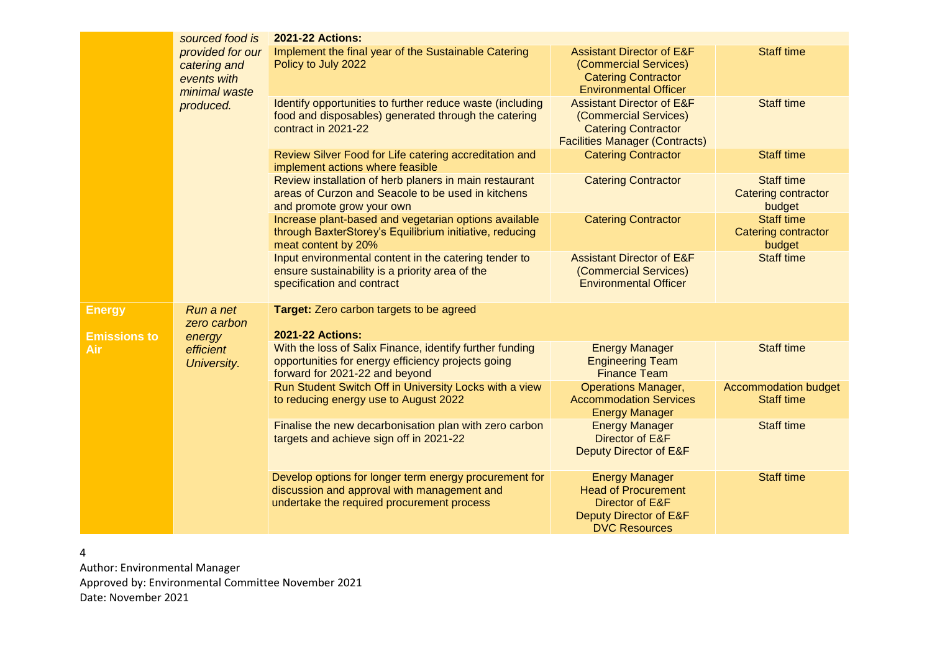|                     | sourced food is                                                  | <b>2021-22 Actions:</b>                                                                                                                             |                                                                                                                                      |                                                           |
|---------------------|------------------------------------------------------------------|-----------------------------------------------------------------------------------------------------------------------------------------------------|--------------------------------------------------------------------------------------------------------------------------------------|-----------------------------------------------------------|
|                     | provided for our<br>catering and<br>events with<br>minimal waste | Implement the final year of the Sustainable Catering<br>Policy to July 2022                                                                         | <b>Assistant Director of E&amp;F</b><br>(Commercial Services)<br><b>Catering Contractor</b><br><b>Environmental Officer</b>          | <b>Staff time</b>                                         |
|                     | produced.                                                        | Identify opportunities to further reduce waste (including<br>food and disposables) generated through the catering<br>contract in 2021-22            | <b>Assistant Director of E&amp;F</b><br>(Commercial Services)<br><b>Catering Contractor</b><br><b>Facilities Manager (Contracts)</b> | <b>Staff time</b>                                         |
|                     |                                                                  | Review Silver Food for Life catering accreditation and<br>implement actions where feasible                                                          | <b>Catering Contractor</b>                                                                                                           | <b>Staff time</b>                                         |
|                     |                                                                  | Review installation of herb planers in main restaurant<br>areas of Curzon and Seacole to be used in kitchens<br>and promote grow your own           | <b>Catering Contractor</b>                                                                                                           | <b>Staff time</b><br><b>Catering contractor</b><br>budget |
|                     |                                                                  | Increase plant-based and vegetarian options available<br>through BaxterStorey's Equilibrium initiative, reducing<br>meat content by 20%             | <b>Catering Contractor</b>                                                                                                           | <b>Staff time</b><br>Catering contractor<br>budget        |
|                     |                                                                  | Input environmental content in the catering tender to<br>ensure sustainability is a priority area of the<br>specification and contract              | <b>Assistant Director of E&amp;F</b><br>(Commercial Services)<br><b>Environmental Officer</b>                                        | <b>Staff time</b>                                         |
| <b>Energy</b>       | Run a net<br>zero carbon                                         | Target: Zero carbon targets to be agreed                                                                                                            |                                                                                                                                      |                                                           |
| <b>Emissions to</b> | energy                                                           | <b>2021-22 Actions:</b>                                                                                                                             |                                                                                                                                      |                                                           |
| <b>Air</b>          | efficient<br>University.                                         | With the loss of Salix Finance, identify further funding<br>opportunities for energy efficiency projects going<br>forward for 2021-22 and beyond    | <b>Energy Manager</b><br><b>Engineering Team</b><br><b>Finance Team</b>                                                              | <b>Staff time</b>                                         |
|                     |                                                                  | Run Student Switch Off in University Locks with a view<br>to reducing energy use to August 2022                                                     | <b>Operations Manager,</b><br><b>Accommodation Services</b><br><b>Energy Manager</b>                                                 | <b>Accommodation budget</b><br><b>Staff time</b>          |
|                     |                                                                  | Finalise the new decarbonisation plan with zero carbon<br>targets and achieve sign off in 2021-22                                                   | <b>Energy Manager</b><br>Director of E&F<br>Deputy Director of E&F                                                                   | <b>Staff time</b>                                         |
|                     |                                                                  | Develop options for longer term energy procurement for<br>discussion and approval with management and<br>undertake the required procurement process | <b>Energy Manager</b><br><b>Head of Procurement</b><br>Director of E&F<br>Deputy Director of E&F<br><b>DVC Resources</b>             | <b>Staff time</b>                                         |

Author: Environmental Manager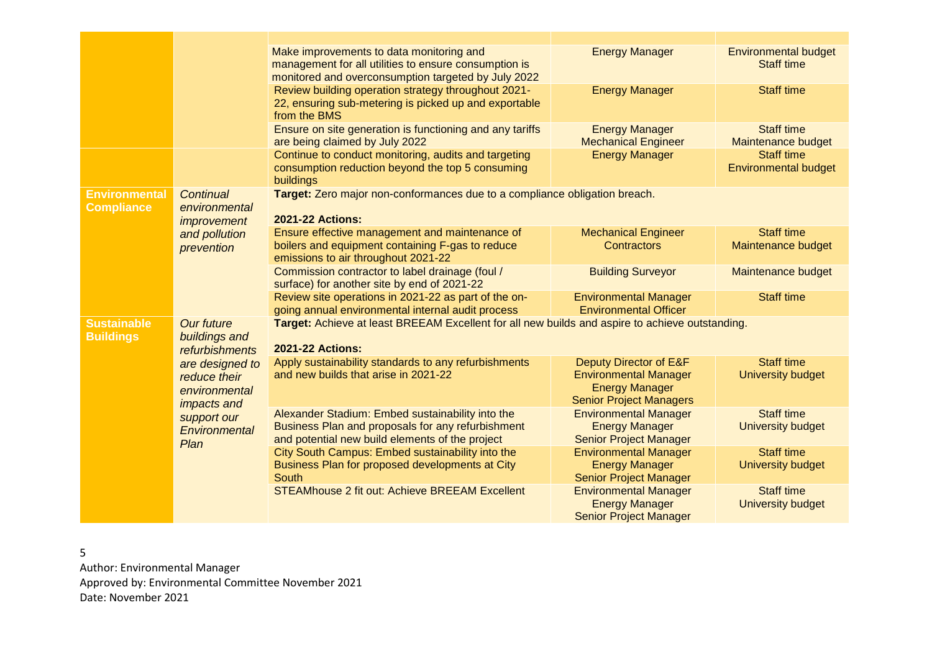|                                           |                                                                                                                                                                        | Make improvements to data monitoring and<br>management for all utilities to ensure consumption is<br>monitored and overconsumption targeted by July 2022 | <b>Energy Manager</b>                                                                                             | <b>Environmental budget</b><br><b>Staff time</b> |
|-------------------------------------------|------------------------------------------------------------------------------------------------------------------------------------------------------------------------|----------------------------------------------------------------------------------------------------------------------------------------------------------|-------------------------------------------------------------------------------------------------------------------|--------------------------------------------------|
|                                           |                                                                                                                                                                        | Review building operation strategy throughout 2021-<br>22, ensuring sub-metering is picked up and exportable<br>from the BMS                             | <b>Energy Manager</b>                                                                                             | <b>Staff time</b>                                |
|                                           |                                                                                                                                                                        | Ensure on site generation is functioning and any tariffs<br>are being claimed by July 2022                                                               | <b>Energy Manager</b><br><b>Mechanical Engineer</b>                                                               | <b>Staff time</b><br>Maintenance budget          |
|                                           |                                                                                                                                                                        | Continue to conduct monitoring, audits and targeting<br>consumption reduction beyond the top 5 consuming<br>buildings                                    | <b>Energy Manager</b>                                                                                             | <b>Staff time</b><br><b>Environmental budget</b> |
| <b>Environmental</b><br><b>Compliance</b> | Continual<br>environmental<br>improvement                                                                                                                              | Target: Zero major non-conformances due to a compliance obligation breach.<br><b>2021-22 Actions:</b>                                                    |                                                                                                                   |                                                  |
|                                           | and pollution<br>prevention                                                                                                                                            | Ensure effective management and maintenance of<br>boilers and equipment containing F-gas to reduce<br>emissions to air throughout 2021-22                | <b>Mechanical Engineer</b><br><b>Contractors</b>                                                                  | <b>Staff time</b><br>Maintenance budget          |
|                                           |                                                                                                                                                                        | Commission contractor to label drainage (foul /<br>surface) for another site by end of 2021-22                                                           | <b>Building Surveyor</b>                                                                                          | Maintenance budget                               |
|                                           |                                                                                                                                                                        | Review site operations in 2021-22 as part of the on-<br>going annual environmental internal audit process                                                | <b>Environmental Manager</b><br><b>Environmental Officer</b>                                                      | <b>Staff time</b>                                |
| <b>Sustainable</b><br><b>Buildings</b>    | <b>Our future</b><br>buildings and<br><i>refurbishments</i><br>are designed to<br>reduce their<br>environmental<br>impacts and<br>support our<br>Environmental<br>Plan | Target: Achieve at least BREEAM Excellent for all new builds and aspire to achieve outstanding.<br><b>2021-22 Actions:</b>                               |                                                                                                                   |                                                  |
|                                           |                                                                                                                                                                        | Apply sustainability standards to any refurbishments<br>and new builds that arise in 2021-22                                                             | Deputy Director of E&F<br><b>Environmental Manager</b><br><b>Energy Manager</b><br><b>Senior Project Managers</b> | <b>Staff time</b><br>University budget           |
|                                           |                                                                                                                                                                        | Alexander Stadium: Embed sustainability into the<br>Business Plan and proposals for any refurbishment<br>and potential new build elements of the project | <b>Environmental Manager</b><br><b>Energy Manager</b><br><b>Senior Project Manager</b>                            | <b>Staff time</b><br>University budget           |
|                                           |                                                                                                                                                                        | City South Campus: Embed sustainability into the<br>Business Plan for proposed developments at City<br>South                                             | <b>Environmental Manager</b><br><b>Energy Manager</b><br><b>Senior Project Manager</b>                            | <b>Staff time</b><br>University budget           |
|                                           |                                                                                                                                                                        | <b>STEAMhouse 2 fit out: Achieve BREEAM Excellent</b>                                                                                                    | <b>Environmental Manager</b><br><b>Energy Manager</b><br><b>Senior Project Manager</b>                            | <b>Staff time</b><br>University budget           |

Author: Environmental Manager Approved by: Environmental Committee November 2021 Date: November 2021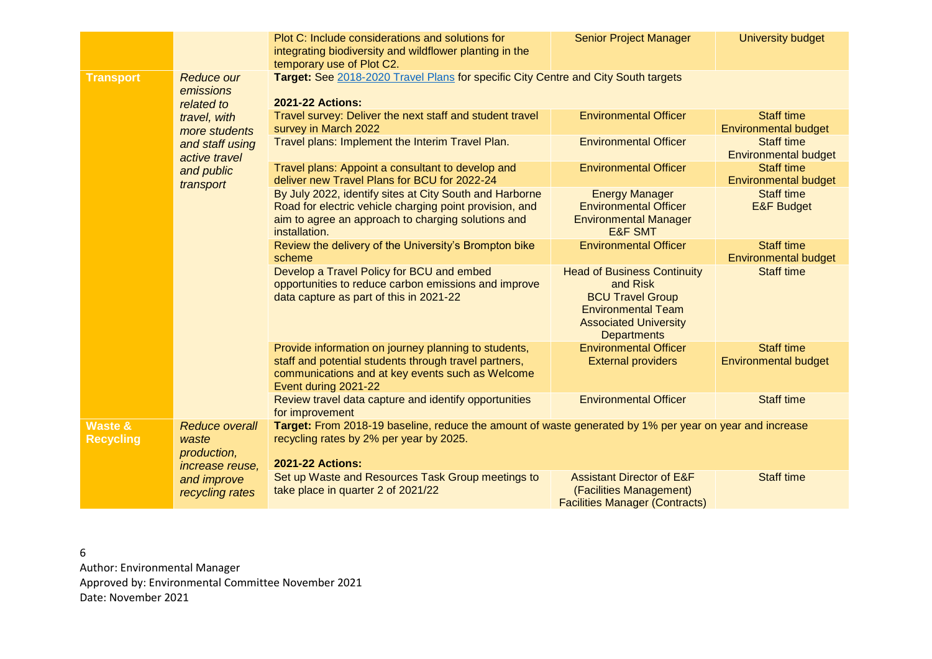|                                        |                                                                  | Plot C: Include considerations and solutions for<br>integrating biodiversity and wildflower planting in the<br>temporary use of Plot C2.                                                  | <b>Senior Project Manager</b>                                                                                                                                | <b>University budget</b>                         |
|----------------------------------------|------------------------------------------------------------------|-------------------------------------------------------------------------------------------------------------------------------------------------------------------------------------------|--------------------------------------------------------------------------------------------------------------------------------------------------------------|--------------------------------------------------|
| <b>Transport</b>                       | <b>Reduce our</b><br>emissions<br>related to                     | Target: See 2018-2020 Travel Plans for specific City Centre and City South targets<br><b>2021-22 Actions:</b>                                                                             |                                                                                                                                                              |                                                  |
|                                        | travel, with<br>more students                                    | Travel survey: Deliver the next staff and student travel<br>survey in March 2022                                                                                                          | <b>Environmental Officer</b>                                                                                                                                 | <b>Staff time</b><br><b>Environmental budget</b> |
|                                        | and staff using<br>active travel                                 | Travel plans: Implement the Interim Travel Plan.                                                                                                                                          | <b>Environmental Officer</b>                                                                                                                                 | <b>Staff time</b><br><b>Environmental budget</b> |
|                                        | and public<br>transport                                          | Travel plans: Appoint a consultant to develop and<br>deliver new Travel Plans for BCU for 2022-24                                                                                         | <b>Environmental Officer</b>                                                                                                                                 | <b>Staff time</b><br><b>Environmental budget</b> |
|                                        |                                                                  | By July 2022, identify sites at City South and Harborne<br>Road for electric vehicle charging point provision, and<br>aim to agree an approach to charging solutions and<br>installation. | <b>Energy Manager</b><br><b>Environmental Officer</b><br><b>Environmental Manager</b><br><b>E&amp;F SMT</b>                                                  | <b>Staff time</b><br><b>E&amp;F Budget</b>       |
|                                        |                                                                  | Review the delivery of the University's Brompton bike<br>scheme                                                                                                                           | <b>Environmental Officer</b>                                                                                                                                 | <b>Staff time</b><br><b>Environmental budget</b> |
|                                        |                                                                  | Develop a Travel Policy for BCU and embed<br>opportunities to reduce carbon emissions and improve<br>data capture as part of this in 2021-22                                              | <b>Head of Business Continuity</b><br>and Risk<br><b>BCU Travel Group</b><br><b>Environmental Team</b><br><b>Associated University</b><br><b>Departments</b> | <b>Staff time</b>                                |
|                                        |                                                                  | Provide information on journey planning to students,<br>staff and potential students through travel partners,<br>communications and at key events such as Welcome<br>Event during 2021-22 | <b>Environmental Officer</b><br><b>External providers</b>                                                                                                    | <b>Staff time</b><br><b>Environmental budget</b> |
|                                        |                                                                  | Review travel data capture and identify opportunities<br>for improvement                                                                                                                  | <b>Environmental Officer</b>                                                                                                                                 | <b>Staff time</b>                                |
| <b>Waste &amp;</b><br><b>Recycling</b> | <b>Reduce overall</b><br>waste<br>production,<br>increase reuse, | Target: From 2018-19 baseline, reduce the amount of waste generated by 1% per year on year and increase<br>recycling rates by 2% per year by 2025.<br><b>2021-22 Actions:</b>             |                                                                                                                                                              |                                                  |
|                                        | and improve<br>recycling rates                                   | Set up Waste and Resources Task Group meetings to<br>take place in quarter 2 of 2021/22                                                                                                   | <b>Assistant Director of E&amp;F</b><br>(Facilities Management)<br><b>Facilities Manager (Contracts)</b>                                                     | <b>Staff time</b>                                |

Author: Environmental Manager Approved by: Environmental Committee November 2021

Date: November 2021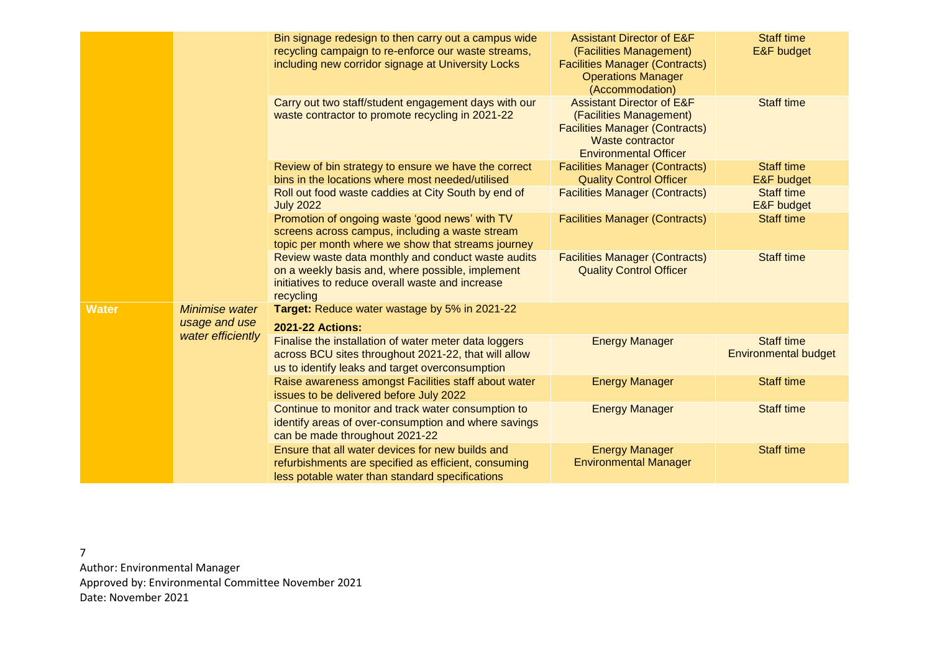|              |                                 | Bin signage redesign to then carry out a campus wide<br>recycling campaign to re-enforce our waste streams,<br>including new corridor signage at University Locks                           | <b>Assistant Director of E&amp;F</b><br>(Facilities Management)<br><b>Facilities Manager (Contracts)</b><br><b>Operations Manager</b><br>(Accommodation)            | <b>Staff time</b><br>E&F budget                  |
|--------------|---------------------------------|---------------------------------------------------------------------------------------------------------------------------------------------------------------------------------------------|---------------------------------------------------------------------------------------------------------------------------------------------------------------------|--------------------------------------------------|
|              |                                 | Carry out two staff/student engagement days with our<br>waste contractor to promote recycling in 2021-22                                                                                    | <b>Assistant Director of E&amp;F</b><br>(Facilities Management)<br><b>Facilities Manager (Contracts)</b><br><b>Waste contractor</b><br><b>Environmental Officer</b> | <b>Staff time</b>                                |
|              |                                 | Review of bin strategy to ensure we have the correct<br>bins in the locations where most needed/utilised                                                                                    | <b>Facilities Manager (Contracts)</b><br><b>Quality Control Officer</b>                                                                                             | <b>Staff time</b><br><b>E&amp;F</b> budget       |
|              |                                 | Roll out food waste caddies at City South by end of<br><b>July 2022</b>                                                                                                                     | <b>Facilities Manager (Contracts)</b>                                                                                                                               | <b>Staff time</b><br>E&F budget                  |
|              |                                 | Promotion of ongoing waste 'good news' with TV<br>screens across campus, including a waste stream<br>topic per month where we show that streams journey                                     | <b>Facilities Manager (Contracts)</b>                                                                                                                               | <b>Staff time</b>                                |
|              |                                 | Review waste data monthly and conduct waste audits<br>on a weekly basis and, where possible, implement<br>initiatives to reduce overall waste and increase<br>recycling                     | <b>Facilities Manager (Contracts)</b><br><b>Quality Control Officer</b>                                                                                             | <b>Staff time</b>                                |
| <b>Water</b> | Minimise water<br>usage and use | Target: Reduce water wastage by 5% in 2021-22                                                                                                                                               |                                                                                                                                                                     |                                                  |
|              | water efficiently               | <b>2021-22 Actions:</b><br>Finalise the installation of water meter data loggers<br>across BCU sites throughout 2021-22, that will allow<br>us to identify leaks and target overconsumption | <b>Energy Manager</b>                                                                                                                                               | <b>Staff time</b><br><b>Environmental budget</b> |
|              |                                 | Raise awareness amongst Facilities staff about water<br>issues to be delivered before July 2022                                                                                             | <b>Energy Manager</b>                                                                                                                                               | <b>Staff time</b>                                |
|              |                                 | Continue to monitor and track water consumption to<br>identify areas of over-consumption and where savings<br>can be made throughout 2021-22                                                | <b>Energy Manager</b>                                                                                                                                               | <b>Staff time</b>                                |
|              |                                 | Ensure that all water devices for new builds and<br>refurbishments are specified as efficient, consuming<br>less potable water than standard specifications                                 | <b>Energy Manager</b><br><b>Environmental Manager</b>                                                                                                               | <b>Staff time</b>                                |

Author: Environmental Manager Approved by: Environmental Committee November 2021 Date: November 2021

7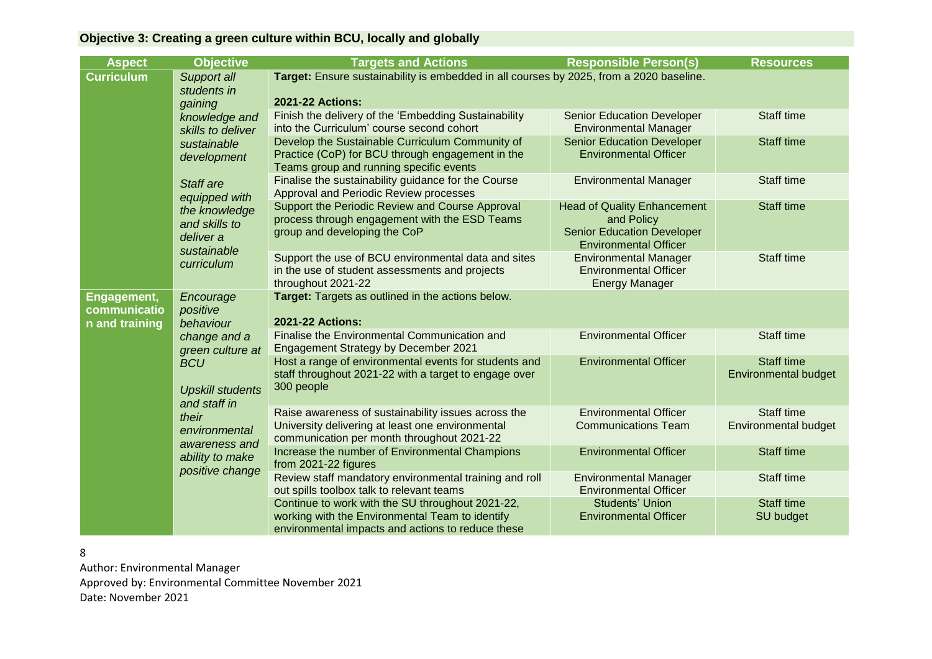## **Objective 3: Creating a green culture within BCU, locally and globally**

| <b>Aspect</b>     | <b>Objective</b>                   | <b>Targets and Actions</b>                                                                          | <b>Responsible Person(s)</b>                                      | <b>Resources</b>            |
|-------------------|------------------------------------|-----------------------------------------------------------------------------------------------------|-------------------------------------------------------------------|-----------------------------|
| <b>Curriculum</b> | Support all                        | Target: Ensure sustainability is embedded in all courses by 2025, from a 2020 baseline.             |                                                                   |                             |
|                   | students in                        |                                                                                                     |                                                                   |                             |
|                   | gaining                            | <b>2021-22 Actions:</b><br>Finish the delivery of the 'Embedding Sustainability                     |                                                                   | Staff time                  |
|                   | knowledge and<br>skills to deliver | into the Curriculum' course second cohort                                                           | <b>Senior Education Developer</b><br><b>Environmental Manager</b> |                             |
|                   | sustainable                        | Develop the Sustainable Curriculum Community of                                                     | <b>Senior Education Developer</b>                                 | Staff time                  |
|                   | development                        | Practice (CoP) for BCU through engagement in the                                                    | <b>Environmental Officer</b>                                      |                             |
|                   |                                    | Teams group and running specific events                                                             |                                                                   |                             |
|                   | Staff are                          | Finalise the sustainability guidance for the Course                                                 | <b>Environmental Manager</b>                                      | Staff time                  |
|                   | equipped with                      | Approval and Periodic Review processes                                                              |                                                                   |                             |
|                   | the knowledge                      | Support the Periodic Review and Course Approval                                                     | <b>Head of Quality Enhancement</b>                                | Staff time                  |
|                   | and skills to                      | process through engagement with the ESD Teams<br>group and developing the CoP                       | and Policy<br><b>Senior Education Developer</b>                   |                             |
|                   | deliver a                          |                                                                                                     | <b>Environmental Officer</b>                                      |                             |
|                   | sustainable                        | Support the use of BCU environmental data and sites                                                 | <b>Environmental Manager</b>                                      | Staff time                  |
|                   | curriculum                         | in the use of student assessments and projects                                                      | <b>Environmental Officer</b>                                      |                             |
|                   |                                    | throughout 2021-22                                                                                  | <b>Energy Manager</b>                                             |                             |
| Engagement,       | Encourage                          | Target: Targets as outlined in the actions below.                                                   |                                                                   |                             |
| communicatio      | positive<br>behaviour              | <b>2021-22 Actions:</b>                                                                             |                                                                   |                             |
| n and training    | change and a                       | Finalise the Environmental Communication and                                                        | <b>Environmental Officer</b>                                      | Staff time                  |
|                   | green culture at                   | Engagement Strategy by December 2021                                                                |                                                                   |                             |
|                   | <b>BCU</b>                         | Host a range of environmental events for students and                                               | <b>Environmental Officer</b>                                      | Staff time                  |
|                   |                                    | staff throughout 2021-22 with a target to engage over                                               |                                                                   | <b>Environmental budget</b> |
|                   | <b>Upskill students</b>            | 300 people                                                                                          |                                                                   |                             |
|                   | and staff in                       | Raise awareness of sustainability issues across the                                                 | <b>Environmental Officer</b>                                      | Staff time                  |
|                   | their                              | University delivering at least one environmental                                                    | <b>Communications Team</b>                                        | <b>Environmental budget</b> |
|                   | environmental                      | communication per month throughout 2021-22                                                          |                                                                   |                             |
|                   | awareness and<br>ability to make   | Increase the number of Environmental Champions                                                      | <b>Environmental Officer</b>                                      | Staff time                  |
|                   | positive change                    | from 2021-22 figures                                                                                |                                                                   |                             |
|                   |                                    | Review staff mandatory environmental training and roll                                              | <b>Environmental Manager</b>                                      | Staff time                  |
|                   |                                    | out spills toolbox talk to relevant teams                                                           | <b>Environmental Officer</b>                                      |                             |
|                   |                                    | Continue to work with the SU throughout 2021-22,<br>working with the Environmental Team to identify | <b>Students' Union</b><br><b>Environmental Officer</b>            | Staff time<br>SU budget     |
|                   |                                    | environmental impacts and actions to reduce these                                                   |                                                                   |                             |

8

Author: Environmental Manager